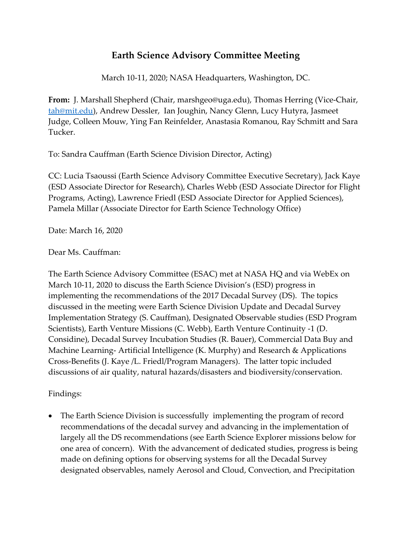## **Earth Science Advisory Committee Meeting**

March 10-11, 2020; NASA Headquarters, Washington, DC.

**From:** J. Marshall Shepherd (Chair, marshgeo@uga.edu), Thomas Herring (Vice-Chair, [tah@mit.edu\)](mailto:tah@mit.edu), Andrew Dessler, Ian Joughin, Nancy Glenn, Lucy Hutyra, Jasmeet Judge, Colleen Mouw, Ying Fan Reinfelder, Anastasia Romanou, Ray Schmitt and Sara Tucker.

To: Sandra Cauffman (Earth Science Division Director, Acting)

CC: Lucia Tsaoussi (Earth Science Advisory Committee Executive Secretary), Jack Kaye (ESD Associate Director for Research), Charles Webb (ESD Associate Director for Flight Programs, Acting), Lawrence Friedl (ESD Associate Director for Applied Sciences), Pamela Millar (Associate Director for Earth Science Technology Office)

Date: March 16, 2020

Dear Ms. Cauffman:

The Earth Science Advisory Committee (ESAC) met at NASA HQ and via WebEx on March 10-11, 2020 to discuss the Earth Science Division's (ESD) progress in implementing the recommendations of the 2017 Decadal Survey (DS). The topics discussed in the meeting were Earth Science Division Update and Decadal Survey Implementation Strategy (S. Cauffman), Designated Observable studies (ESD Program Scientists), Earth Venture Missions (C. Webb), Earth Venture Continuity -1 (D. Considine), Decadal Survey Incubation Studies (R. Bauer), Commercial Data Buy and Machine Learning- Artificial Intelligence (K. Murphy) and Research & Applications Cross-Benefits (J. Kaye /L. Friedl/Program Managers). The latter topic included discussions of air quality, natural hazards/disasters and biodiversity/conservation.

Findings:

• The Earth Science Division is successfully implementing the program of record recommendations of the decadal survey and advancing in the implementation of largely all the DS recommendations (see Earth Science Explorer missions below for one area of concern). With the advancement of dedicated studies, progress is being made on defining options for observing systems for all the Decadal Survey designated observables, namely Aerosol and Cloud, Convection, and Precipitation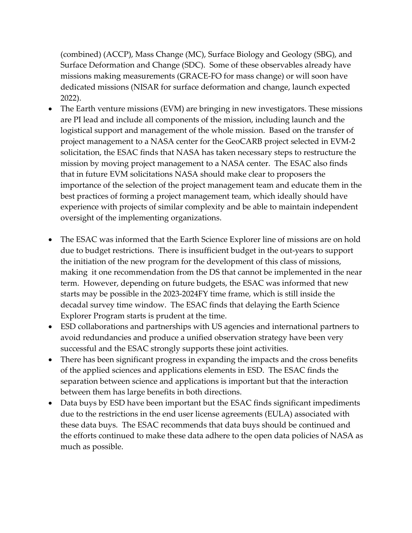(combined) (ACCP), Mass Change (MC), Surface Biology and Geology (SBG), and Surface Deformation and Change (SDC). Some of these observables already have missions making measurements (GRACE-FO for mass change) or will soon have dedicated missions (NISAR for surface deformation and change, launch expected 2022).

- The Earth venture missions (EVM) are bringing in new investigators. These missions are PI lead and include all components of the mission, including launch and the logistical support and management of the whole mission. Based on the transfer of project management to a NASA center for the GeoCARB project selected in EVM-2 solicitation, the ESAC finds that NASA has taken necessary steps to restructure the mission by moving project management to a NASA center. The ESAC also finds that in future EVM solicitations NASA should make clear to proposers the importance of the selection of the project management team and educate them in the best practices of forming a project management team, which ideally should have experience with projects of similar complexity and be able to maintain independent oversight of the implementing organizations.
- The ESAC was informed that the Earth Science Explorer line of missions are on hold due to budget restrictions. There is insufficient budget in the out-years to support the initiation of the new program for the development of this class of missions, making it one recommendation from the DS that cannot be implemented in the near term. However, depending on future budgets, the ESAC was informed that new starts may be possible in the 2023-2024FY time frame, which is still inside the decadal survey time window. The ESAC finds that delaying the Earth Science Explorer Program starts is prudent at the time.
- ESD collaborations and partnerships with US agencies and international partners to avoid redundancies and produce a unified observation strategy have been very successful and the ESAC strongly supports these joint activities.
- There has been significant progress in expanding the impacts and the cross benefits of the applied sciences and applications elements in ESD. The ESAC finds the separation between science and applications is important but that the interaction between them has large benefits in both directions.
- Data buys by ESD have been important but the ESAC finds significant impediments due to the restrictions in the end user license agreements (EULA) associated with these data buys. The ESAC recommends that data buys should be continued and the efforts continued to make these data adhere to the open data policies of NASA as much as possible.